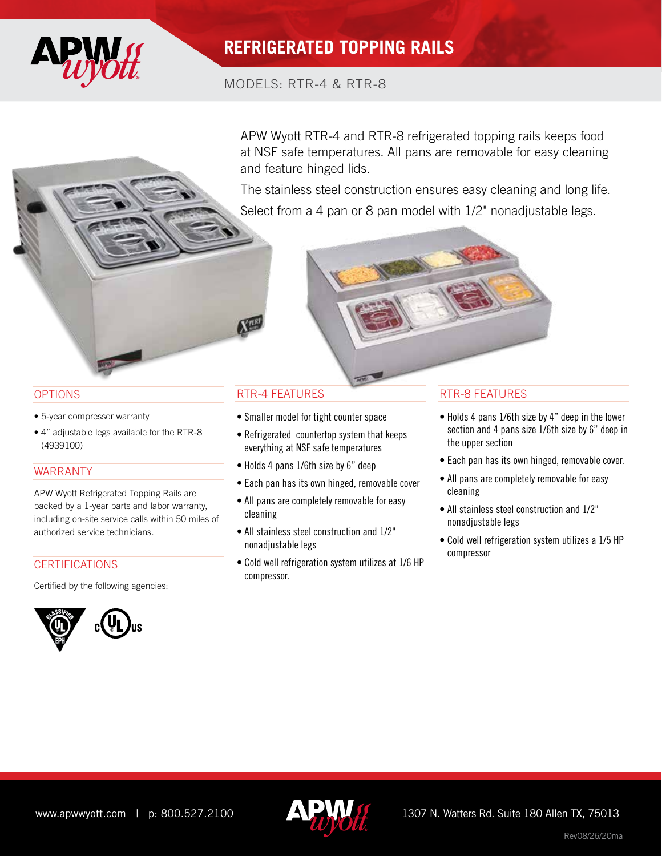

# **REFRIGERATED TOPPING RAILS**

## MODELS: RTR-4 & RTR-8

APW Wyott RTR-4 and RTR-8 refrigerated topping rails keeps food at NSF safe temperatures. All pans are removable for easy cleaning and feature hinged lids.

The stainless steel construction ensures easy cleaning and long life. Select from a 4 pan or 8 pan model with  $1/2$ " nonadjustable legs.



### **OPTIONS**

- 5-year compressor warranty
- 4" adjustable legs available for the RTR-8 (4939100)

### WARRANTY

APW Wyott Refrigerated Topping Rails are backed by a 1-year parts and labor warranty, including on-site service calls within 50 miles of authorized service technicians.

### **CERTIFICATIONS**

Certified by the following agencies:



- Smaller model for tight counter space
- Refrigerated countertop system that keeps everything at NSF safe temperatures
- Holds 4 pans 1/6th size by 6" deep
- Each pan has its own hinged, removable cover
- All pans are completely removable for easy cleaning
- All stainless steel construction and 1/2" nonadjustable legs
- Cold well refrigeration system utilizes at 1/6 HP compressor.

### RTR-4 FEATURES RTR-8 FEATURES

- Holds 4 pans 1/6th size by 4" deep in the lower section and 4 pans size 1/6th size by 6" deep in the upper section
- Each pan has its own hinged, removable cover.
- All pans are completely removable for easy cleaning
- All stainless steel construction and 1/2" nonadjustable legs
- Cold well refrigeration system utilizes a 1/5 HP compressor